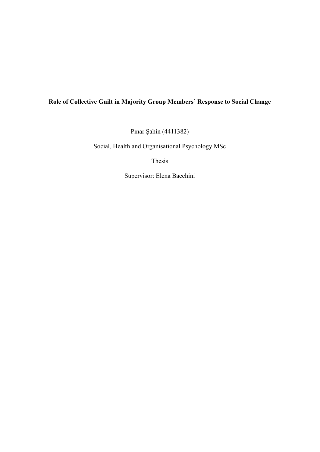# **Role of Collective Guilt in Majority Group Members' Response to Social Change**

Pınar Şahin (4411382)

Social, Health and Organisational Psychology MSc

Thesis

Supervisor: Elena Bacchini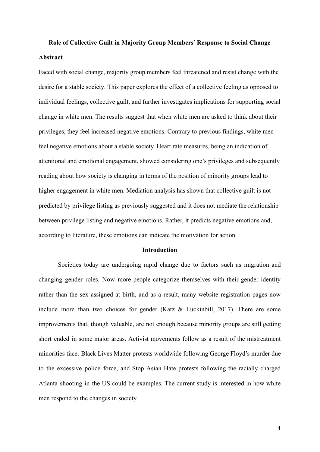# **Role of Collective Guilt in Majority Group Members' Response to Social Change Abstract**

Faced with social change, majority group members feel threatened and resist change with the desire for a stable society. This paper explores the effect of a collective feeling as opposed to individual feelings, collective guilt, and further investigates implications for supporting social change in white men. The results suggest that when white men are asked to think about their privileges, they feel increased negative emotions. Contrary to previous findings, white men feel negative emotions about a stable society. Heart rate measures, being an indication of attentional and emotional engagement, showed considering one's privileges and subsequently reading about how society is changing in terms of the position of minority groups lead to higher engagement in white men. Mediation analysis has shown that collective guilt is not predicted by privilege listing as previously suggested and it does not mediate the relationship between privilege listing and negative emotions. Rather, it predicts negative emotions and, according to literature, these emotions can indicate the motivation for action.

#### **Introduction**

Societies today are undergoing rapid change due to factors such as migration and changing gender roles. Now more people categorize themselves with their gender identity rather than the sex assigned at birth, and as a result, many website registration pages now include more than two choices for gender (Katz & Luckinbill, 2017). There are some improvements that, though valuable, are not enough because minority groups are still getting short ended in some major areas. Activist movements follow as a result of the mistreatment minorities face. Black Lives Matter protests worldwide following George Floyd's murder due to the excessive police force, and Stop Asian Hate protests following the racially charged Atlanta shooting in the US could be examples. The current study is interested in how white men respond to the changes in society.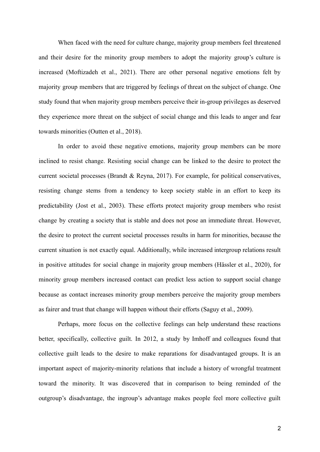When faced with the need for culture change, majority group members feel threatened and their desire for the minority group members to adopt the majority group's culture is increased (Moftizadeh et al., 2021). There are other personal negative emotions felt by majority group members that are triggered by feelings of threat on the subject of change. One study found that when majority group members perceive their in-group privileges as deserved they experience more threat on the subject of social change and this leads to anger and fear towards minorities (Outten et al., 2018).

In order to avoid these negative emotions, majority group members can be more inclined to resist change. Resisting social change can be linked to the desire to protect the current societal processes (Brandt & Reyna, 2017). For example, for political conservatives, resisting change stems from a tendency to keep society stable in an effort to keep its predictability (Jost et al., 2003). These efforts protect majority group members who resist change by creating a society that is stable and does not pose an immediate threat. However, the desire to protect the current societal processes results in harm for minorities, because the current situation is not exactly equal. Additionally, while increased intergroup relations result in positive attitudes for social change in majority group members (H[äs](https://www.nature.com/articles/s41562-019-0815-z#auth-Tabea-H_ssler)sler et al., 2020), for minority group members increased contact can predict less action to support social change because as contact increases minority group members perceive the majority group members as fairer and trust that change will happen without their efforts (Saguy et al., 2009).

Perhaps, more focus on the collective feelings can help understand these reactions better, specifically, collective guilt. In 2012, a study by Imhoff and colleagues found that collective guilt leads to the desire to make reparations for disadvantaged groups. It is an important aspect of majority-minority relations that include a history of wrongful treatment toward the minority. It was discovered that in comparison to being reminded of the outgroup's disadvantage, the ingroup's advantage makes people feel more collective guilt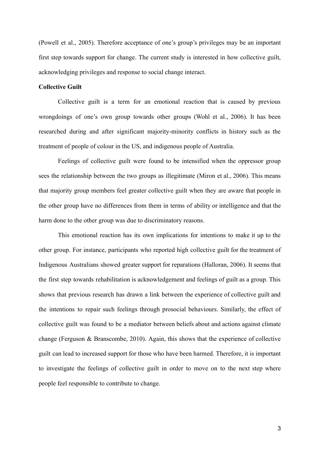(Powell et al., 2005). Therefore acceptance of one's group's privileges may be an important first step towards support for change. The current study is interested in how collective guilt, acknowledging privileges and response to social change interact.

# **Collective Guilt**

Collective guilt is a term for an emotional reaction that is caused by previous wrongdoings of one's own group towards other groups (Wohl et al., 2006). It has been researched during and after significant majority-minority conflicts in history such as the treatment of people of colour in the US, and indigenous people of Australia.

Feelings of collective guilt were found to be intensified when the oppressor group sees the relationship between the two groups as illegitimate (Miron et al., 2006). This means that majority group members feel greater collective guilt when they are aware that people in the other group have no differences from them in terms of ability or intelligence and that the harm done to the other group was due to discriminatory reasons.

This emotional reaction has its own implications for intentions to make it up to the other group. For instance, participants who reported high collective guilt for the treatment of Indigenous Australians showed greater support for reparations (Halloran, 2006). It seems that the first step towards rehabilitation is acknowledgement and feelings of guilt as a group. This shows that previous research has drawn a link between the experience of collective guilt and the intentions to repair such feelings through prosocial behaviours. Similarly, the effect of collective guilt was found to be a mediator between beliefs about and actions against climate change (Ferguson & Branscombe, 2010). Again, this shows that the experience of collective guilt can lead to increased support for those who have been harmed. Therefore, it is important to investigate the feelings of collective guilt in order to move on to the next step where people feel responsible to contribute to change.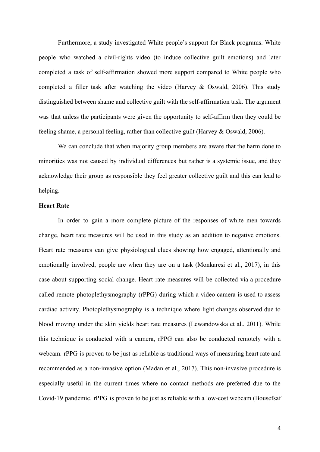Furthermore, a study investigated White people's support for Black programs. White people who watched a civil-rights video (to induce collective guilt emotions) and later completed a task of self-affirmation showed more support compared to White people who completed a filler task after watching the video (Harvey  $\&$  Oswald, 2006). This study distinguished between shame and collective guilt with the self-affirmation task. The argument was that unless the participants were given the opportunity to self-affirm then they could be feeling shame, a personal feeling, rather than collective guilt (Harvey & Oswald, 2006).

We can conclude that when majority group members are aware that the harm done to minorities was not caused by individual differences but rather is a systemic issue, and they acknowledge their group as responsible they feel greater collective guilt and this can lead to helping.

# **Heart Rate**

In order to gain a more complete picture of the responses of white men towards change, heart rate measures will be used in this study as an addition to negative emotions. Heart rate measures can give physiological clues showing how engaged, attentionally and emotionally involved, people are when they are on a task (Monkaresi et al., 2017), in this case about supporting social change. Heart rate measures will be collected via a procedure called remote photoplethysmography (rPPG) during which a video camera is used to assess cardiac activity. Photoplethysmography is a technique where light changes observed due to blood moving under the skin yields heart rate measures (Lewandowska et al., 2011). While this technique is conducted with a camera, rPPG can also be conducted remotely with a webcam. rPPG is proven to be just as reliable as traditional ways of measuring heart rate and recommended as a non-invasive option (Madan et al., 2017). This non-invasive procedure is especially useful in the current times where no contact methods are preferred due to the Covid-19 pandemic. rPPG is proven to be just as reliable with a low-cost webcam (Bousefsaf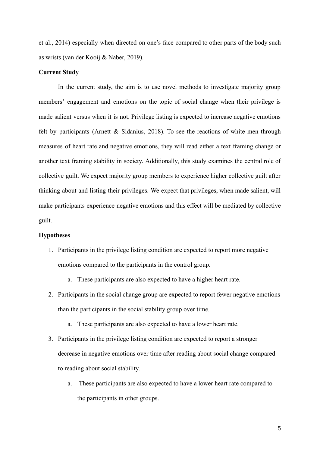et al., 2014) especially when directed on one's face compared to other parts of the body such as wrists (van der Kooij & Naber, 2019).

#### **Current Study**

In the current study, the aim is to use novel methods to investigate majority group members' engagement and emotions on the topic of social change when their privilege is made salient versus when it is not. Privilege listing is expected to increase negative emotions felt by participants (Arnett & Sidanius, 2018). To see the reactions of white men through measures of heart rate and negative emotions, they will read either a text framing change or another text framing stability in society. Additionally, this study examines the central role of collective guilt. We expect majority group members to experience higher collective guilt after thinking about and listing their privileges. We expect that privileges, when made salient, will make participants experience negative emotions and this effect will be mediated by collective guilt.

#### **Hypotheses**

- 1. Participants in the privilege listing condition are expected to report more negative emotions compared to the participants in the control group.
	- a. These participants are also expected to have a higher heart rate.
- 2. Participants in the social change group are expected to report fewer negative emotions than the participants in the social stability group over time.
	- a. These participants are also expected to have a lower heart rate.
- 3. Participants in the privilege listing condition are expected to report a stronger decrease in negative emotions over time after reading about social change compared to reading about social stability.
	- a. These participants are also expected to have a lower heart rate compared to the participants in other groups.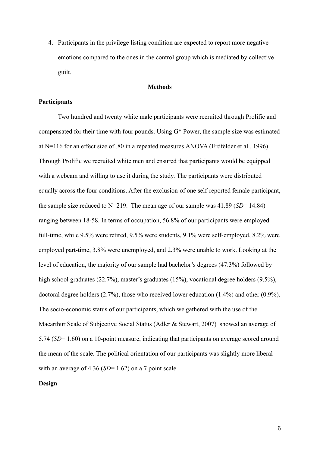4. Participants in the privilege listing condition are expected to report more negative emotions compared to the ones in the control group which is mediated by collective guilt.

# **Methods**

#### **Participants**

Two hundred and twenty white male participants were recruited through Prolific and compensated for their time with four pounds. Using G\* Power, the sample size was estimated at N=116 for an effect size of .80 in a repeated measures ANOVA (Erdfelder et al., 1996). Through Prolific we recruited white men and ensured that participants would be equipped with a webcam and willing to use it during the study. The participants were distributed equally across the four conditions. After the exclusion of one self-reported female participant, the sample size reduced to N=219. The mean age of our sample was 41.89 (*SD*= 14.84) ranging between 18-58. In terms of occupation, 56.8% of our participants were employed full-time, while 9.5% were retired, 9.5% were students, 9.1% were self-employed, 8.2% were employed part-time, 3.8% were unemployed, and 2.3% were unable to work. Looking at the level of education, the majority of our sample had bachelor's degrees (47.3%) followed by high school graduates (22.7%), master's graduates (15%), vocational degree holders (9.5%), doctoral degree holders (2.7%), those who received lower education (1.4%) and other (0.9%). The socio-economic status of our participants, which we gathered with the use of the Macarthur Scale of Subjective Social Status (Adler & Stewart, 2007) showed an average of 5.74 (*SD*= 1.60) on a 10-point measure, indicating that participants on average scored around the mean of the scale. The political orientation of our participants was slightly more liberal with an average of 4.36 (*SD*= 1.62) on a 7 point scale.

**Design**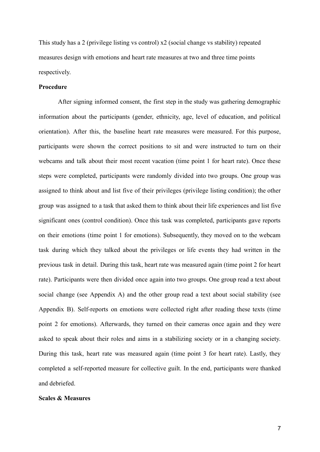This study has a 2 (privilege listing vs control) x2 (social change vs stability) repeated measures design with emotions and heart rate measures at two and three time points respectively.

# **Procedure**

After signing informed consent, the first step in the study was gathering demographic information about the participants (gender, ethnicity, age, level of education, and political orientation). After this, the baseline heart rate measures were measured. For this purpose, participants were shown the correct positions to sit and were instructed to turn on their webcams and talk about their most recent vacation (time point 1 for heart rate). Once these steps were completed, participants were randomly divided into two groups. One group was assigned to think about and list five of their privileges (privilege listing condition); the other group was assigned to a task that asked them to think about their life experiences and list five significant ones (control condition). Once this task was completed, participants gave reports on their emotions (time point 1 for emotions). Subsequently, they moved on to the webcam task during which they talked about the privileges or life events they had written in the previous task in detail. During this task, heart rate was measured again (time point 2 for heart rate). Participants were then divided once again into two groups. One group read a text about social change (see Appendix A) and the other group read a text about social stability (see Appendix B). Self-reports on emotions were collected right after reading these texts (time point 2 for emotions). Afterwards, they turned on their cameras once again and they were asked to speak about their roles and aims in a stabilizing society or in a changing society. During this task, heart rate was measured again (time point 3 for heart rate). Lastly, they completed a self-reported measure for collective guilt. In the end, participants were thanked and debriefed.

#### **Scales & Measures**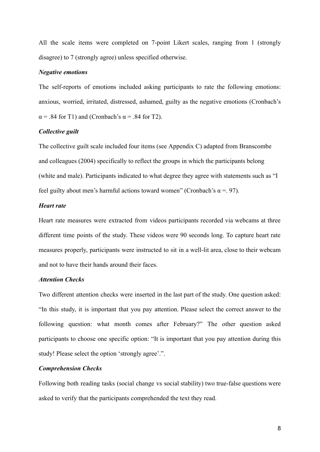All the scale items were completed on 7-point Likert scales, ranging from 1 (strongly disagree) to 7 (strongly agree) unless specified otherwise.

#### *Negative emotions*

The self-reports of emotions included asking participants to rate the following emotions: anxious, worried, irritated, distressed, ashamed, guilty as the negative emotions (Cronbach's  $\alpha$  = .84 for T1) and (Cronbach's  $\alpha$  = .84 for T2).

## *Collective guilt*

The collective guilt scale included four items (see Appendix C) adapted from Branscombe and colleagues (2004) specifically to reflect the groups in which the participants belong (white and male). Participants indicated to what degree they agree with statements such as "I feel guilty about men's harmful actions toward women" (Cronbach's  $\alpha$  = 97).

# *Heart rate*

Heart rate measures were extracted from videos participants recorded via webcams at three different time points of the study. These videos were 90 seconds long. To capture heart rate measures properly, participants were instructed to sit in a well-lit area, close to their webcam and not to have their hands around their faces.

# *Attention Checks*

Two different attention checks were inserted in the last part of the study. One question asked: "In this study, it is important that you pay attention. Please select the correct answer to the following question: what month comes after February?" The other question asked participants to choose one specific option: "It is important that you pay attention during this study! Please select the option 'strongly agree'.".

# *Comprehension Checks*

Following both reading tasks (social change vs social stability) two true-false questions were asked to verify that the participants comprehended the text they read.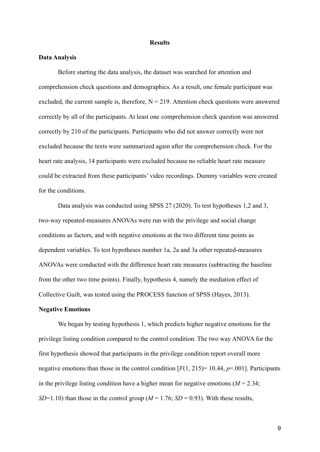#### **Results**

#### **Data Analysis**

Before starting the data analysis, the dataset was searched for attention and comprehension check questions and demographics. As a result, one female participant was excluded, the current sample is, therefore,  $N = 219$ . Attention check questions were answered correctly by all of the participants. At least one comprehension check question was answered correctly by 210 of the participants. Participants who did not answer correctly were not excluded because the texts were summarized again after the comprehension check. For the heart rate analysis, 14 participants were excluded because no reliable heart rate measure could be extracted from these participants' video recordings. Dummy variables were created for the conditions.

Data analysis was conducted using SPSS 27 (2020). To test hypotheses 1,2 and 3, two-way repeated-measures ANOVAs were run with the privilege and social change conditions as factors, and with negative emotions at the two different time points as dependent variables. To test hypotheses number 1a, 2a and 3a other repeated-measures ANOVAs were conducted with the difference heart rate measures (subtracting the baseline from the other two time points). Finally, hypothesis 4, namely the mediation effect of Collective Guilt, was tested using the PROCESS function of SPSS (Hayes, 2013).

## **Negative Emotions**

We began by testing hypothesis 1, which predicts higher negative emotions for the privilege listing condition compared to the control condition. The two way ANOVA for the first hypothesis showed that participants in the privilege condition report overall more negative emotions than those in the control condition  $[F(1, 215) = 10.44, p = .001]$ . Participants in the privilege listing condition have a higher mean for negative emotions  $(M = 2.34)$ ; *SD*=1.10) than those in the control group ( $M = 1.76$ ; *SD* = 0.93). With these results,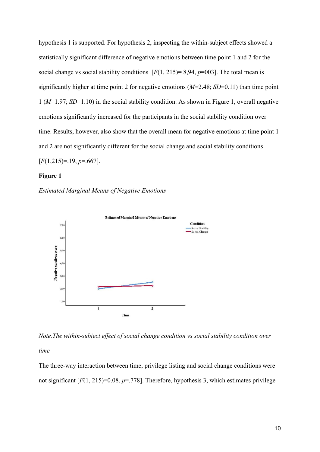hypothesis 1 is supported. For hypothesis 2, inspecting the within-subject effects showed a statistically significant difference of negative emotions between time point 1 and 2 for the social change vs social stability conditions  $[F(1, 215) = 8,94, p=003]$ . The total mean is significantly higher at time point 2 for negative emotions (*M*=2.48; *SD*=0.11) than time point 1 (*M*=1.97; *SD*=1.10) in the social stability condition. As shown in Figure 1, overall negative emotions significantly increased for the participants in the social stability condition over time. Results, however, also show that the overall mean for negative emotions at time point 1 and 2 are not significantly different for the social change and social stability conditions [*F*(1,215)=.19, *p*=.667].

# **Figure 1**

*Estimated Marginal Means of Negative Emotions*



*Note.The within-subject effect of social change condition vs social stability condition over time*

The three-way interaction between time, privilege listing and social change conditions were not significant [*F*(1, 215)=0.08, *p*=.778]. Therefore, hypothesis 3, which estimates privilege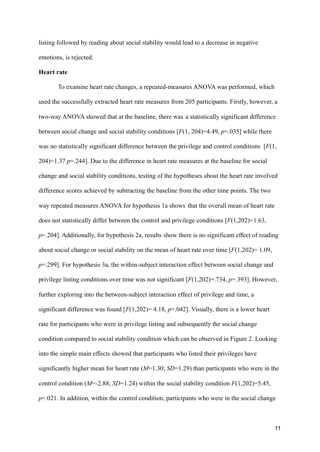listing followed by reading about social stability would lead to a decrease in negative emotions, is rejected.

#### **Heart rate**

To examine heart rate changes, a repeated-measures ANOVA was performed, which used the successfully extracted heart rate measures from 205 participants. Firstly, however, a two-way ANOVA showed that at the baseline, there was a statistically significant difference between social change and social stability conditions  $[F(1, 204)=4.49, p=.035]$  while there was no statistically significant difference between the privilege and control conditions [*F*(1, 204)=1.37 *p*=.244]. Due to the difference in heart rate measures at the baseline for social change and social stability conditions, testing of the hypotheses about the heart rate involved difference scores achieved by subtracting the baseline from the other time points. The two way repeated measures ANOVA for hypothesis 1a shows that the overall mean of heart rate does not statistically differ between the control and privilege conditions [*F*(1,202)=1.63, *p*=.204]. Additionally, for hypothesis 2a, results show there is no significant effect of reading about social change or social stability on the mean of heart rate over time [*F*(1,202)= 1.09, *p*=.299]. For hypothesis 3a, the within-subject interaction effect between social change and privilege listing conditions over time was not significant [*F*(1,202)=.734, *p*=.393]. However, further exploring into the between-subject interaction effect of privilege and time, a significant difference was found  $[F(1,202)=4.18, p=.042]$ . Visually, there is a lower heart rate for participants who were in privilege listing and subsequently the social change condition compared to social stability condition which can be observed in Figure 2. Looking into the simple main effects showed that participants who listed their privileges have significantly higher mean for heart rate (*M*=1.30; *SD*=1.29) than participants who were in the control condition (*M*=-2.88; *SD*=1.24) within the social stability condition *F*(1,202)=5.45,  $p=0.021$ . In addition, within the control condition, participants who were in the social change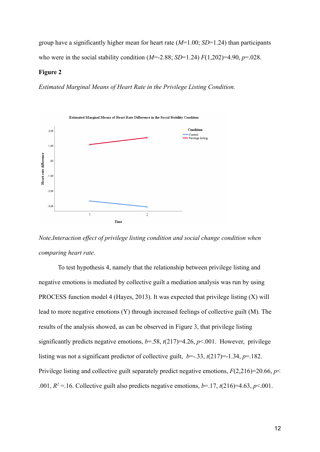group have a significantly higher mean for heart rate (*M*=1.00; *SD*=1.24) than participants who were in the social stability condition (*M*=-2.88; *SD*=1.24) *F*(1,202)=4.90, *p*=.028.

#### **Figure 2**

*Estimated Marginal Means of Heart Rate in the Privilege Listing Condition.*



*Note*.*Interaction effect of privilege listing condition and social change condition when comparing heart rate.*

To test hypothesis 4, namely that the relationship between privilege listing and negative emotions is mediated by collective guilt a mediation analysis was run by using PROCESS function model 4 (Hayes, 2013). It was expected that privilege listing (X) will lead to more negative emotions (Y) through increased feelings of collective guilt (M). The results of the analysis showed, as can be observed in Figure 3, that privilege listing significantly predicts negative emotions, *b*=.58, *t*(217)=4.26, *p*<.001. However, privilege listing was not a significant predictor of collective guilt,  $b=-.33$ ,  $t(217)=-1.34$ ,  $p=.182$ . Privilege listing and collective guilt separately predict negative emotions, *F*(2,216)=20.66, *p*< .001,  $R^2 = 16$ . Collective guilt also predicts negative emotions,  $b=17$ ,  $t(216)=4.63$ ,  $p<0.01$ .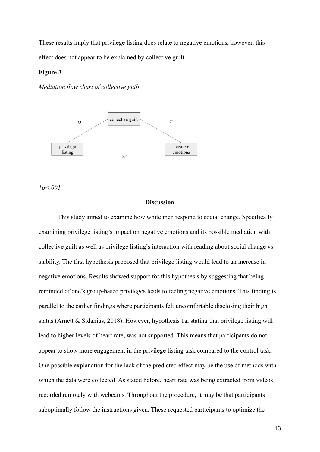These results imply that privilege listing does relate to negative emotions, however, this effect does not appear to be explained by collective guilt.

#### **Figure 3**

*Mediation flow chart of collective guilt*



*\*p<.001*

# **Discussion**

This study aimed to examine how white men respond to social change. Specifically examining privilege listing's impact on negative emotions and its possible mediation with collective guilt as well as privilege listing's interaction with reading about social change vs stability. The first hypothesis proposed that privilege listing would lead to an increase in negative emotions. Results showed support for this hypothesis by suggesting that being reminded of one's group-based privileges leads to feeling negative emotions. This finding is parallel to the earlier findings where participants felt uncomfortable disclosing their high status (Arnett & Sidanius, 2018). However, hypothesis 1a, stating that privilege listing will lead to higher levels of heart rate, was not supported. This means that participants do not appear to show more engagement in the privilege listing task compared to the control task. One possible explanation for the lack of the predicted effect may be the use of methods with which the data were collected. As stated before, heart rate was being extracted from videos recorded remotely with webcams. Throughout the procedure, it may be that participants suboptimally follow the instructions given. These requested participants to optimize the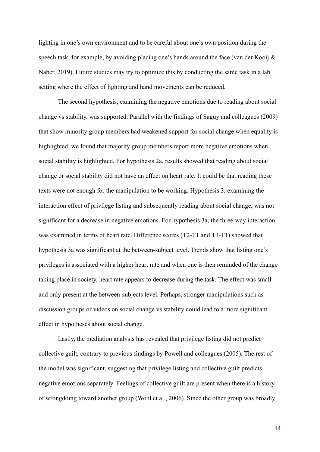lighting in one's own environment and to be careful about one's own position during the speech task, for example, by avoiding placing one's hands around the face (van der Kooij  $\&$ Naber, 2019). Future studies may try to optimize this by conducting the same task in a lab setting where the effect of lighting and hand movements can be reduced.

The second hypothesis, examining the negative emotions due to reading about social change vs stability, was supported. Parallel with the findings of Saguy and colleagues (2009) that show minority group members had weakened support for social change when equality is highlighted, we found that majority group members report more negative emotions when social stability is highlighted. For hypothesis 2a, results showed that reading about social change or social stability did not have an effect on heart rate. It could be that reading these texts were not enough for the manipulation to be working. Hypothesis 3, examining the interaction effect of privilege listing and subsequently reading about social change, was not significant for a decrease in negative emotions. For hypothesis 3a, the three-way interaction was examined in terms of heart rate. Difference scores (T2-T1 and T3-T1) showed that hypothesis 3a was significant at the between-subject level. Trends show that listing one's privileges is associated with a higher heart rate and when one is then reminded of the change taking place in society, heart rate appears to decrease during the task. The effect was small and only present at the between-subjects level. Perhaps, stronger manipulations such as discussion groups or videos on social change vs stability could lead to a more significant effect in hypotheses about social change.

Lastly, the mediation analysis has revealed that privilege listing did not predict collective guilt, contrary to previous findings by Powell and colleagues (2005). The rest of the model was significant, suggesting that privilege listing and collective guilt predicts negative emotions separately. Feelings of collective guilt are present when there is a history of wrongdoing toward another group (Wohl et al., 2006). Since the other group was broadly

14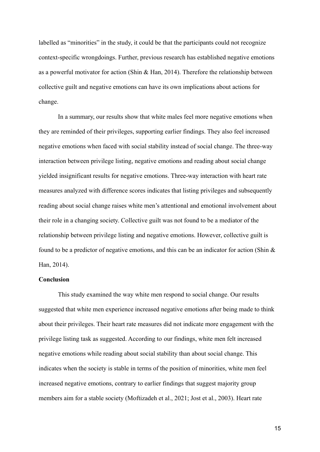labelled as "minorities" in the study, it could be that the participants could not recognize context-specific wrongdoings. Further, previous research has established negative emotions as a powerful motivator for action (Shin & Han, 2014). Therefore the relationship between collective guilt and negative emotions can have its own implications about actions for change.

In a summary, our results show that white males feel more negative emotions when they are reminded of their privileges, supporting earlier findings. They also feel increased negative emotions when faced with social stability instead of social change. The three-way interaction between privilege listing, negative emotions and reading about social change yielded insignificant results for negative emotions. Three-way interaction with heart rate measures analyzed with difference scores indicates that listing privileges and subsequently reading about social change raises white men's attentional and emotional involvement about their role in a changing society. Collective guilt was not found to be a mediator of the relationship between privilege listing and negative emotions. However, collective guilt is found to be a predictor of negative emotions, and this can be an indicator for action (Shin  $\&$ Han, 2014).

# **Conclusion**

This study examined the way white men respond to social change. Our results suggested that white men experience increased negative emotions after being made to think about their privileges. Their heart rate measures did not indicate more engagement with the privilege listing task as suggested. According to our findings, white men felt increased negative emotions while reading about social stability than about social change. This indicates when the society is stable in terms of the position of minorities, white men feel increased negative emotions, contrary to earlier findings that suggest majority group members aim for a stable society (Moftizadeh et al., 2021; Jost et al., 2003). Heart rate

15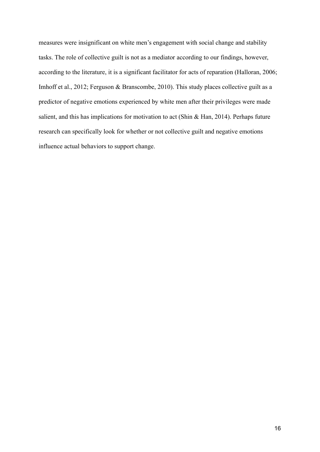measures were insignificant on white men's engagement with social change and stability tasks. The role of collective guilt is not as a mediator according to our findings, however, according to the literature, it is a significant facilitator for acts of reparation (Halloran, 2006; Imhoff et al., 2012; Ferguson & Branscombe, 2010). This study places collective guilt as a predictor of negative emotions experienced by white men after their privileges were made salient, and this has implications for motivation to act (Shin & Han, 2014). Perhaps future research can specifically look for whether or not collective guilt and negative emotions influence actual behaviors to support change.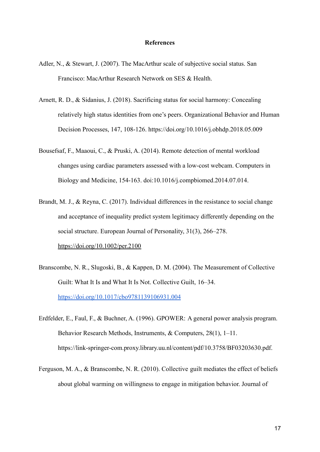#### **References**

- Adler, N., & Stewart, J. (2007). The MacArthur scale of subjective social status. San Francisco: MacArthur Research Network on SES & Health.
- Arnett, R. D., & Sidanius, J. (2018). Sacrificing status for social harmony: Concealing relatively high status identities from one's peers. Organizational Behavior and Human Decision Processes, 147, 108-126. <https://doi.org/10.1016/j.obhdp.2018.05.009>
- Bousefsaf, F., Maaoui, C., & Pruski, A. (2014). Remote detection of mental workload changes using cardiac parameters assessed with a low-cost webcam. Computers in Biology and Medicine, 154-163. doi:10.1016/j.compbiomed.2014.07.014.
- Brandt, M. J., & Reyna, C. (2017). Individual differences in the resistance to social change and acceptance of inequality predict system legitimacy differently depending on the social structure. European Journal of Personality, 31(3), 266–278. <https://doi.org/10.1002/per.2100>
- Branscombe, N. R., Slugoski, B., & Kappen, D. M. (2004). The Measurement of Collective Guilt: What It Is and What It Is Not. Collective Guilt, 16–34. <https://doi.org/10.1017/cbo9781139106931.004>
- Erdfelder, E., Faul, F., & Buchner, A. (1996). GPOWER: A general power analysis program. Behavior Research Methods, Instruments, & Computers, 28(1), 1–11. https://link-springer-com.proxy.library.uu.nl/content/pdf/10.3758/BF03203630.pdf.
- Ferguson, M. A., & Branscombe, N. R. (2010). Collective guilt mediates the effect of beliefs about global warming on willingness to engage in mitigation behavior. Journal of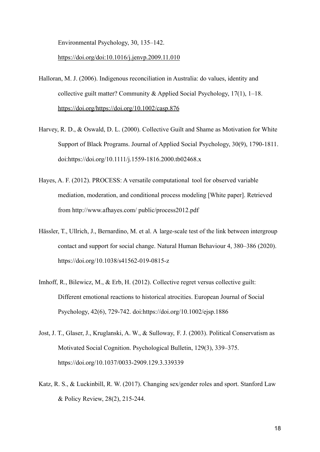Environmental Psychology, 30, 135–142.

#### <https://doi.org/doi:10.1016/j.jenvp.2009.11.010>

- Halloran, M. J. (2006). Indigenous reconciliation in Australia: do values, identity and collective guilt matter? Community & Applied Social Psychology, 17(1), 1–18. <https://doi.org/https://doi.org/10.1002/casp.876>
- Harvey, R. D., & Oswald, D. L. (2000). Collective Guilt and Shame as Motivation for White Support of Black Programs. Journal of Applied Social Psychology, 30(9), 1790-1811. doi:<https://doi.org/10.1111/j.1559-1816.2000.tb02468.x>
- Hayes, A. F. (2012). PROCESS: A versatile computational tool for observed variable mediation, moderation, and conditional process modeling [White paper]. Retrieved from http://www.afhayes.com/ public/process2012.pdf
- Hässler, T., Ullrich, J., Bernardino, M. et al. A large-scale test of the link between intergroup contact and support for social change. Natural Human Behaviour 4, 380–386 (2020). <https://doi.org/10.1038/s41562-019-0815-z>
- Imhoff, R., Bilewicz, M., & Erb, H. (2012). Collective regret versus collective guilt: Different emotional reactions to historical atrocities. European Journal of Social Psychology, 42(6), 729-742. doi:<https://doi.org/10.1002/ejsp.1886>
- Jost, J. T., Glaser, J., Kruglanski, A. W., & Sulloway, F. J. (2003). Political Conservatism as Motivated Social Cognition. Psychological Bulletin, 129(3), 339–375. https://doi.org/10.1037/0033-2909.129.3.339339
- Katz, R. S., & Luckinbill, R. W. (2017). Changing sex/gender roles and sport. Stanford Law & Policy Review, 28(2), 215-244.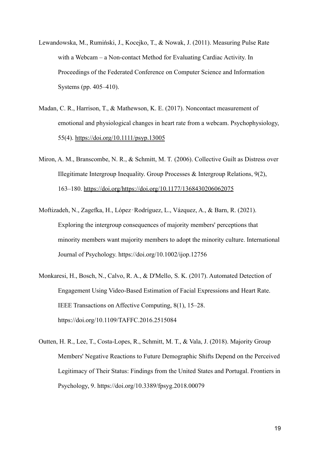- Lewandowska, M., Rumiński, J., Kocejko, T., & Nowak, J. (2011). Measuring Pulse Rate with a Webcam – a Non-contact Method for Evaluating Cardiac Activity. In Proceedings of the Federated Conference on Computer Science and Information Systems (pp. 405–410).
- Madan, C. R., Harrison, T., & Mathewson, K. E. (2017). Noncontact measurement of emotional and physiological changes in heart rate from a webcam. Psychophysiology, 55(4). <https://doi.org/10.1111/psyp.13005>
- Miron, A. M., Branscombe, N. R., & Schmitt, M. T. (2006). Collective Guilt as Distress over Illegitimate Intergroup Inequality. Group Processes & Intergroup Relations, 9(2), 163–180. <https://doi.org/https://doi.org/10.1177/1368430206062075>
- Moftizadeh, N., Zagefka, H., López‐Rodríguez, L., Vázquez, A., & Barn, R. (2021). Exploring the intergroup consequences of majority members' perceptions that minority members want majority members to adopt the minority culture. International Journal of Psychology. <https://doi.org/10.1002/ijop.12756>
- Monkaresi, H., Bosch, N., Calvo, R. A., & D'Mello, S. K. (2017). Automated Detection of Engagement Using Video-Based Estimation of Facial Expressions and Heart Rate. IEEE Transactions on Affective Computing, 8(1), 15–28. https://doi.org/10.1109/TAFFC.2016.2515084
- Outten, H. R., Lee, T., Costa-Lopes, R., Schmitt, M. T., & Vala, J. (2018). Majority Group Members' Negative Reactions to Future Demographic Shifts Depend on the Perceived Legitimacy of Their Status: Findings from the United States and Portugal. Frontiers in Psychology, 9. <https://doi.org/10.3389/fpsyg.2018.00079>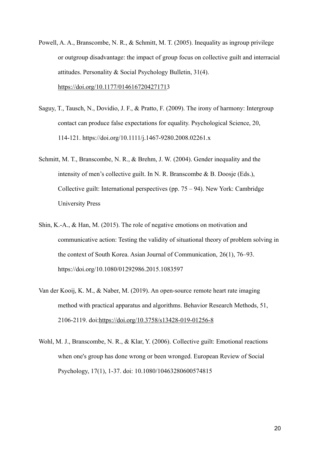- Powell, A. A., Branscombe, N. R., & Schmitt, M. T. (2005). Inequality as ingroup privilege or outgroup disadvantage: the impact of group focus on collective guilt and interracial attitudes. Personality & Social Psychology Bulletin, 31(4). <https://doi.org/10.1177/0146167204271713>
- Saguy, T., Tausch, N., Dovidio, J. F., & Pratto, F. (2009). The irony of harmony: Intergroup contact can produce false expectations for equality. Psychological Science, 20, 114-121. <https://doi.org/10.1111/j.1467-9280.2008.02261.x>
- Schmitt, M. T., Branscombe, N. R., & Brehm, J. W. (2004). Gender inequality and the intensity of men's collective guilt. In N. R. Branscombe & B. Doosje (Eds.), Collective guilt: International perspectives (pp.  $75 - 94$ ). New York: Cambridge University Press
- Shin, K.-A., & Han, M. (2015). The role of negative emotions on motivation and communicative action: Testing the validity of situational theory of problem solving in the context of South Korea. Asian Journal of Communication, 26(1), 76–93. https://doi.org/10.1080/01292986.2015.1083597
- Van der Kooij, K. M., & Naber, M. (2019). An open-source remote heart rate imaging method with practical apparatus and algorithms. Behavior Research Methods, 51, 2106-2119. doi[:https://doi.org/10.3758/s13428-019-01256-8](https://doi.org/10.3758/s13428-019-01256-8)
- Wohl, M. J., Branscombe, N. R., & Klar, Y. (2006). Collective guilt: Emotional reactions when one's group has done wrong or been wronged. European Review of Social Psychology, 17(1), 1-37. doi: 10.1080/10463280600574815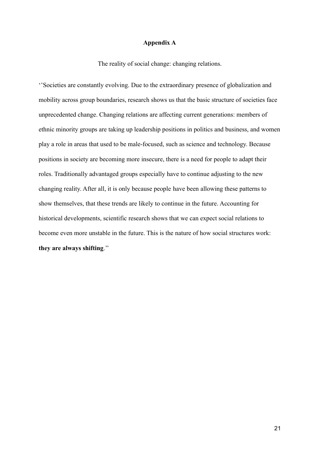## **Appendix A**

The reality of social change: changing relations.

''Societies are constantly evolving. Due to the extraordinary presence of globalization and mobility across group boundaries, research shows us that the basic structure of societies face unprecedented change. Changing relations are affecting current generations: members of ethnic minority groups are taking up leadership positions in politics and business, and women play a role in areas that used to be male-focused, such as science and technology. Because positions in society are becoming more insecure, there is a need for people to adapt their roles. Traditionally advantaged groups especially have to continue adjusting to the new changing reality. After all, it is only because people have been allowing these patterns to show themselves, that these trends are likely to continue in the future. Accounting for historical developments, scientific research shows that we can expect social relations to become even more unstable in the future. This is the nature of how social structures work: **they are always shifting**.''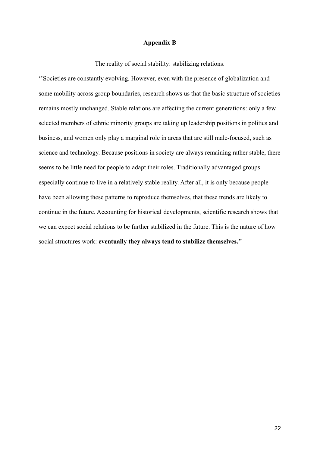#### **Appendix B**

The reality of social stability: stabilizing relations.

''Societies are constantly evolving. However, even with the presence of globalization and some mobility across group boundaries, research shows us that the basic structure of societies remains mostly unchanged. Stable relations are affecting the current generations: only a few selected members of ethnic minority groups are taking up leadership positions in politics and business, and women only play a marginal role in areas that are still male-focused, such as science and technology. Because positions in society are always remaining rather stable, there seems to be little need for people to adapt their roles. Traditionally advantaged groups especially continue to live in a relatively stable reality. After all, it is only because people have been allowing these patterns to reproduce themselves, that these trends are likely to continue in the future. Accounting for historical developments, scientific research shows that we can expect social relations to be further stabilized in the future. This is the nature of how social structures work: **eventually they always tend to stabilize themselves.**''